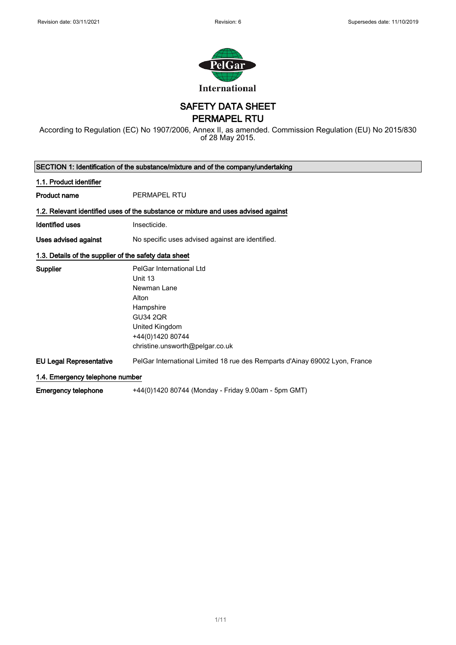

# SAFETY DATA SHEET

PERMAPEL RTU

According to Regulation (EC) No 1907/2006, Annex II, as amended. Commission Regulation (EU) No 2015/830 of 28 May 2015.

|                                                       | SECTION 1: Identification of the substance/mixture and of the company/undertaking  |
|-------------------------------------------------------|------------------------------------------------------------------------------------|
| 1.1. Product identifier                               |                                                                                    |
| <b>Product name</b>                                   | <b>PERMAPEL RTU</b>                                                                |
|                                                       | 1.2. Relevant identified uses of the substance or mixture and uses advised against |
| Identified uses                                       | Insecticide.                                                                       |
| Uses advised against                                  | No specific uses advised against are identified.                                   |
| 1.3. Details of the supplier of the safety data sheet |                                                                                    |
| <b>Supplier</b>                                       | PelGar International Ltd                                                           |
|                                                       | Unit 13                                                                            |
|                                                       | Newman Lane                                                                        |
|                                                       | Alton                                                                              |
|                                                       | Hampshire                                                                          |
|                                                       | <b>GU34 2QR</b>                                                                    |
|                                                       | United Kingdom                                                                     |
|                                                       | +44(0)1420 80744                                                                   |
|                                                       | christine.unsworth@pelgar.co.uk                                                    |
| <b>EU Legal Representative</b>                        | PelGar International Limited 18 rue des Remparts d'Ainay 69002 Lyon, France        |
| 1.4. Emergency telephone number                       |                                                                                    |
| <b>Emergency telephone</b>                            | +44(0)1420 80744 (Monday - Friday 9.00am - 5pm GMT)                                |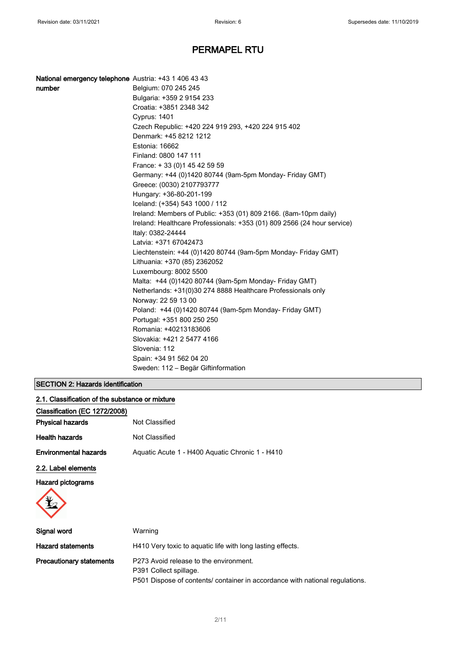| National emergency telephone Austria: +43 1 406 43 43 |                                                                         |
|-------------------------------------------------------|-------------------------------------------------------------------------|
| number                                                | Belgium: 070 245 245                                                    |
|                                                       | Bulgaria: +359 2 9154 233                                               |
|                                                       | Croatia: +3851 2348 342                                                 |
|                                                       | Cyprus: 1401                                                            |
|                                                       | Czech Republic: +420 224 919 293, +420 224 915 402                      |
|                                                       | Denmark: +45 8212 1212                                                  |
|                                                       | Estonia: 16662                                                          |
|                                                       | Finland: 0800 147 111                                                   |
|                                                       | France: +33 (0) 145 42 59 59                                            |
|                                                       | Germany: +44 (0)1420 80744 (9am-5pm Monday- Friday GMT)                 |
|                                                       | Greece: (0030) 2107793777                                               |
|                                                       | Hungary: +36-80-201-199                                                 |
|                                                       | Iceland: (+354) 543 1000 / 112                                          |
|                                                       | Ireland: Members of Public: +353 (01) 809 2166. (8am-10pm daily)        |
|                                                       | Ireland: Healthcare Professionals: +353 (01) 809 2566 (24 hour service) |
|                                                       | Italy: 0382-24444                                                       |
|                                                       | Latvia: +371 67042473                                                   |
|                                                       | Liechtenstein: +44 (0)1420 80744 (9am-5pm Monday- Friday GMT)           |
|                                                       | Lithuania: +370 (85) 2362052                                            |
|                                                       | Luxembourg: 8002 5500                                                   |
|                                                       | Malta: +44 (0)1420 80744 (9am-5pm Monday- Friday GMT)                   |
|                                                       | Netherlands: +31(0)30 274 8888 Healthcare Professionals only            |
|                                                       | Norway: 22 59 13 00                                                     |
|                                                       | Poland: +44 (0)1420 80744 (9am-5pm Monday- Friday GMT)                  |
|                                                       | Portugal: +351 800 250 250                                              |
|                                                       | Romania: +40213183606                                                   |
|                                                       | Slovakia: +421 2 5477 4166                                              |
|                                                       | Slovenia: 112                                                           |
|                                                       | Spain: +34 91 562 04 20                                                 |
|                                                       | Sweden: 112 - Begär Giftinformation                                     |

### SECTION 2: Hazards identification

| 2.1. Classification of the substance or mixture |                                                 |
|-------------------------------------------------|-------------------------------------------------|
| Classification (EC 1272/2008)                   |                                                 |
| <b>Physical hazards</b>                         | Not Classified                                  |
| <b>Health hazards</b>                           | Not Classified                                  |
| <b>Environmental hazards</b>                    | Aquatic Acute 1 - H400 Aquatic Chronic 1 - H410 |
| 2.2. Label elements                             |                                                 |
| <b>Hazard pictograms</b>                        |                                                 |



| Signal word                     | Warning                                                                                                                                          |
|---------------------------------|--------------------------------------------------------------------------------------------------------------------------------------------------|
| <b>Hazard statements</b>        | H410 Very toxic to aquatic life with long lasting effects.                                                                                       |
| <b>Precautionary statements</b> | P273 Avoid release to the environment.<br>P391 Collect spillage.<br>P501 Dispose of contents/ container in accordance with national regulations. |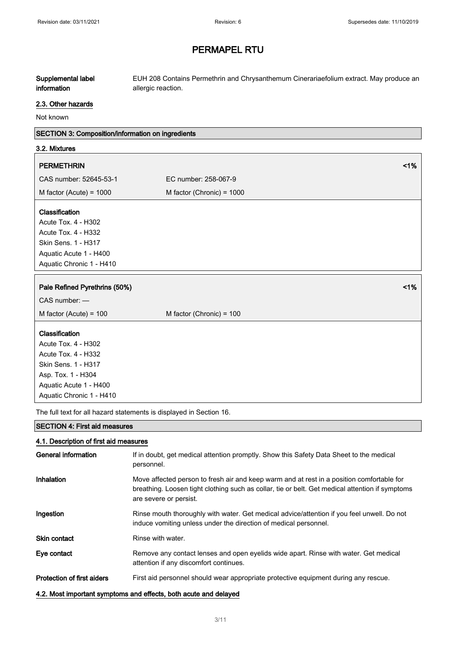#### Supplemental label information EUH 208 Contains Permethrin and Chrysanthemum Cinerariaefolium extract. May produce an allergic reaction.

#### 2.3. Other hazards

Not known

### SECTION 3: Composition/information on ingredients

#### 3.2. Mixtures

| <b>PERMETHRIN</b>                            | $\leq 1\%$                  |  |
|----------------------------------------------|-----------------------------|--|
| CAS number: 52645-53-1                       | EC number: 258-067-9        |  |
| M factor (Acute) = $1000$                    | M factor (Chronic) = $1000$ |  |
| <b>Classification</b><br>Acute Tox. 4 - H302 |                             |  |

Acute Tox. 4 - H332 Skin Sens. 1 - H317 Aquatic Acute 1 - H400 Aquatic Chronic 1 - H410

# Pale Refined Pyrethrins (50%) and the contract of the contract of the contract of the contract of the contract of the contract of the contract of the contract of the contract of the contract of the contract of the contract CAS number: —  $M$  factor (Acute) = 100  $M$  factor (Chronic) = 100

#### **Classification**

Acute Tox. 4 - H302 Acute Tox. 4 - H332 Skin Sens. 1 - H317 Asp. Tox. 1 - H304 Aquatic Acute 1 - H400 Aquatic Chronic 1 - H410

The full text for all hazard statements is displayed in Section 16.

#### SECTION 4: First aid measures

### 4.1. Description of first aid measures

| General information               | If in doubt, get medical attention promptly. Show this Safety Data Sheet to the medical<br>personnel.                                                                                                                  |
|-----------------------------------|------------------------------------------------------------------------------------------------------------------------------------------------------------------------------------------------------------------------|
| Inhalation                        | Move affected person to fresh air and keep warm and at rest in a position comfortable for<br>breathing. Loosen tight clothing such as collar, tie or belt. Get medical attention if symptoms<br>are severe or persist. |
| Ingestion                         | Rinse mouth thoroughly with water. Get medical advice/attention if you feel unwell. Do not<br>induce vomiting unless under the direction of medical personnel.                                                         |
| <b>Skin contact</b>               | Rinse with water.                                                                                                                                                                                                      |
| Eye contact                       | Remove any contact lenses and open eyelids wide apart. Rinse with water. Get medical<br>attention if any discomfort continues.                                                                                         |
| <b>Protection of first aiders</b> | First aid personnel should wear appropriate protective equipment during any rescue.                                                                                                                                    |
|                                   | 4.2. Most important symptoms and effects, both acute and delayed                                                                                                                                                       |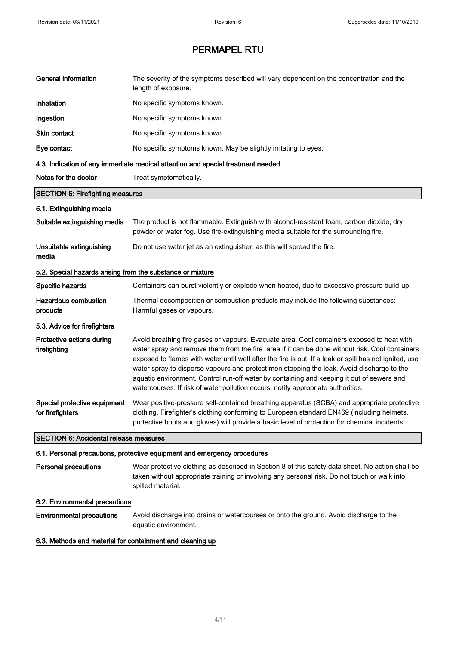| <b>General information</b>                                 | The severity of the symptoms described will vary dependent on the concentration and the<br>length of exposure.                                                                                                                                                                                                                                                                                                                                                                                                                                                                       |
|------------------------------------------------------------|--------------------------------------------------------------------------------------------------------------------------------------------------------------------------------------------------------------------------------------------------------------------------------------------------------------------------------------------------------------------------------------------------------------------------------------------------------------------------------------------------------------------------------------------------------------------------------------|
| Inhalation                                                 | No specific symptoms known.                                                                                                                                                                                                                                                                                                                                                                                                                                                                                                                                                          |
| Ingestion                                                  | No specific symptoms known.                                                                                                                                                                                                                                                                                                                                                                                                                                                                                                                                                          |
| Skin contact                                               | No specific symptoms known.                                                                                                                                                                                                                                                                                                                                                                                                                                                                                                                                                          |
| Eye contact                                                | No specific symptoms known. May be slightly irritating to eyes.                                                                                                                                                                                                                                                                                                                                                                                                                                                                                                                      |
|                                                            | 4.3. Indication of any immediate medical attention and special treatment needed                                                                                                                                                                                                                                                                                                                                                                                                                                                                                                      |
| Notes for the doctor                                       | Treat symptomatically.                                                                                                                                                                                                                                                                                                                                                                                                                                                                                                                                                               |
| <b>SECTION 5: Firefighting measures</b>                    |                                                                                                                                                                                                                                                                                                                                                                                                                                                                                                                                                                                      |
| 5.1. Extinguishing media                                   |                                                                                                                                                                                                                                                                                                                                                                                                                                                                                                                                                                                      |
| Suitable extinguishing media                               | The product is not flammable. Extinguish with alcohol-resistant foam, carbon dioxide, dry<br>powder or water fog. Use fire-extinguishing media suitable for the surrounding fire.                                                                                                                                                                                                                                                                                                                                                                                                    |
| Unsuitable extinguishing<br>media                          | Do not use water jet as an extinguisher, as this will spread the fire.                                                                                                                                                                                                                                                                                                                                                                                                                                                                                                               |
| 5.2. Special hazards arising from the substance or mixture |                                                                                                                                                                                                                                                                                                                                                                                                                                                                                                                                                                                      |
| Specific hazards                                           | Containers can burst violently or explode when heated, due to excessive pressure build-up.                                                                                                                                                                                                                                                                                                                                                                                                                                                                                           |
| <b>Hazardous combustion</b><br>products                    | Thermal decomposition or combustion products may include the following substances:<br>Harmful gases or vapours.                                                                                                                                                                                                                                                                                                                                                                                                                                                                      |
| 5.3. Advice for firefighters                               |                                                                                                                                                                                                                                                                                                                                                                                                                                                                                                                                                                                      |
| Protective actions during<br>firefighting                  | Avoid breathing fire gases or vapours. Evacuate area. Cool containers exposed to heat with<br>water spray and remove them from the fire area if it can be done without risk. Cool containers<br>exposed to flames with water until well after the fire is out. If a leak or spill has not ignited, use<br>water spray to disperse vapours and protect men stopping the leak. Avoid discharge to the<br>aquatic environment. Control run-off water by containing and keeping it out of sewers and<br>watercourses. If risk of water pollution occurs, notify appropriate authorities. |
| Special protective equipment<br>for firefighters           | Wear positive-pressure self-contained breathing apparatus (SCBA) and appropriate protective<br>clothing. Firefighter's clothing conforming to European standard EN469 (including helmets,<br>protective boots and gloves) will provide a basic level of protection for chemical incidents.                                                                                                                                                                                                                                                                                           |
| <b>SECTION 6: Accidental release measures</b>              |                                                                                                                                                                                                                                                                                                                                                                                                                                                                                                                                                                                      |
|                                                            | 6.1. Personal precautions, protective equipment and emergency procedures                                                                                                                                                                                                                                                                                                                                                                                                                                                                                                             |
| <b>Personal precautions</b>                                | Wear protective clothing as described in Section 8 of this safety data sheet. No action shall be<br>taken without appropriate training or involving any personal risk. Do not touch or walk into<br>spilled material.                                                                                                                                                                                                                                                                                                                                                                |
| 6.2. Environmental precautions                             |                                                                                                                                                                                                                                                                                                                                                                                                                                                                                                                                                                                      |
| <b>Environmental precautions</b>                           | Avoid discharge into drains or watercourses or onto the ground. Avoid discharge to the<br>aquatic environment.                                                                                                                                                                                                                                                                                                                                                                                                                                                                       |
| 6.3. Methods and material for containment and cleaning up  |                                                                                                                                                                                                                                                                                                                                                                                                                                                                                                                                                                                      |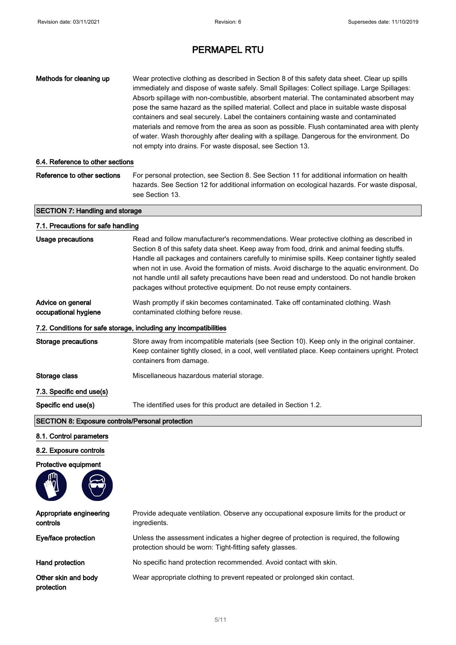| Methods for cleaning up                                 | Wear protective clothing as described in Section 8 of this safety data sheet. Clear up spills<br>immediately and dispose of waste safely. Small Spillages: Collect spillage. Large Spillages:<br>Absorb spillage with non-combustible, absorbent material. The contaminated absorbent may<br>pose the same hazard as the spilled material. Collect and place in suitable waste disposal<br>containers and seal securely. Label the containers containing waste and contaminated<br>materials and remove from the area as soon as possible. Flush contaminated area with plenty<br>of water. Wash thoroughly after dealing with a spillage. Dangerous for the environment. Do<br>not empty into drains. For waste disposal, see Section 13. |
|---------------------------------------------------------|--------------------------------------------------------------------------------------------------------------------------------------------------------------------------------------------------------------------------------------------------------------------------------------------------------------------------------------------------------------------------------------------------------------------------------------------------------------------------------------------------------------------------------------------------------------------------------------------------------------------------------------------------------------------------------------------------------------------------------------------|
| 6.4. Reference to other sections                        |                                                                                                                                                                                                                                                                                                                                                                                                                                                                                                                                                                                                                                                                                                                                            |
| Reference to other sections                             | For personal protection, see Section 8. See Section 11 for additional information on health<br>hazards. See Section 12 for additional information on ecological hazards. For waste disposal,<br>see Section 13.                                                                                                                                                                                                                                                                                                                                                                                                                                                                                                                            |
| <b>SECTION 7: Handling and storage</b>                  |                                                                                                                                                                                                                                                                                                                                                                                                                                                                                                                                                                                                                                                                                                                                            |
| 7.1. Precautions for safe handling                      |                                                                                                                                                                                                                                                                                                                                                                                                                                                                                                                                                                                                                                                                                                                                            |
| <b>Usage precautions</b>                                | Read and follow manufacturer's recommendations. Wear protective clothing as described in<br>Section 8 of this safety data sheet. Keep away from food, drink and animal feeding stuffs.<br>Handle all packages and containers carefully to minimise spills. Keep container tightly sealed<br>when not in use. Avoid the formation of mists. Avoid discharge to the aquatic environment. Do<br>not handle until all safety precautions have been read and understood. Do not handle broken<br>packages without protective equipment. Do not reuse empty containers.                                                                                                                                                                          |
| Advice on general<br>occupational hygiene               | Wash promptly if skin becomes contaminated. Take off contaminated clothing. Wash<br>contaminated clothing before reuse.                                                                                                                                                                                                                                                                                                                                                                                                                                                                                                                                                                                                                    |
|                                                         | 7.2. Conditions for safe storage, including any incompatibilities                                                                                                                                                                                                                                                                                                                                                                                                                                                                                                                                                                                                                                                                          |
| <b>Storage precautions</b>                              | Store away from incompatible materials (see Section 10). Keep only in the original container.<br>Keep container tightly closed, in a cool, well ventilated place. Keep containers upright. Protect<br>containers from damage.                                                                                                                                                                                                                                                                                                                                                                                                                                                                                                              |
| Storage class                                           | Miscellaneous hazardous material storage.                                                                                                                                                                                                                                                                                                                                                                                                                                                                                                                                                                                                                                                                                                  |
| 7.3. Specific end use(s)                                |                                                                                                                                                                                                                                                                                                                                                                                                                                                                                                                                                                                                                                                                                                                                            |
| Specific end use(s)                                     | The identified uses for this product are detailed in Section 1.2.                                                                                                                                                                                                                                                                                                                                                                                                                                                                                                                                                                                                                                                                          |
| <b>SECTION 8: Exposure controls/Personal protection</b> |                                                                                                                                                                                                                                                                                                                                                                                                                                                                                                                                                                                                                                                                                                                                            |
| 8.1. Control parameters                                 |                                                                                                                                                                                                                                                                                                                                                                                                                                                                                                                                                                                                                                                                                                                                            |
| 8.2. Exposure controls                                  |                                                                                                                                                                                                                                                                                                                                                                                                                                                                                                                                                                                                                                                                                                                                            |
| Protective equipment                                    |                                                                                                                                                                                                                                                                                                                                                                                                                                                                                                                                                                                                                                                                                                                                            |
|                                                         |                                                                                                                                                                                                                                                                                                                                                                                                                                                                                                                                                                                                                                                                                                                                            |
| Appropriate engineering<br>controls                     | Provide adequate ventilation. Observe any occupational exposure limits for the product or<br>ingredients.                                                                                                                                                                                                                                                                                                                                                                                                                                                                                                                                                                                                                                  |
| Eye/face protection                                     | Unless the assessment indicates a higher degree of protection is required, the following<br>protection should be worn: Tight-fitting safety glasses.                                                                                                                                                                                                                                                                                                                                                                                                                                                                                                                                                                                       |
| Hand protection                                         | No specific hand protection recommended. Avoid contact with skin.                                                                                                                                                                                                                                                                                                                                                                                                                                                                                                                                                                                                                                                                          |
| Other skin and body<br>protection                       | Wear appropriate clothing to prevent repeated or prolonged skin contact.                                                                                                                                                                                                                                                                                                                                                                                                                                                                                                                                                                                                                                                                   |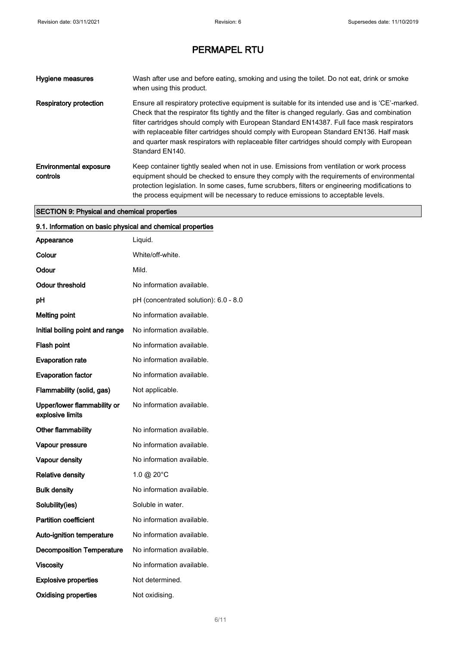| Hygiene measures                          | Wash after use and before eating, smoking and using the toilet. Do not eat, drink or smoke<br>when using this product.                                                                                                                                                                                                                                                                                                                                                                                          |
|-------------------------------------------|-----------------------------------------------------------------------------------------------------------------------------------------------------------------------------------------------------------------------------------------------------------------------------------------------------------------------------------------------------------------------------------------------------------------------------------------------------------------------------------------------------------------|
| <b>Respiratory protection</b>             | Ensure all respiratory protective equipment is suitable for its intended use and is 'CE'-marked.<br>Check that the respirator fits tightly and the filter is changed regularly. Gas and combination<br>filter cartridges should comply with European Standard EN14387. Full face mask respirators<br>with replaceable filter cartridges should comply with European Standard EN136. Half mask<br>and quarter mask respirators with replaceable filter cartridges should comply with European<br>Standard EN140. |
| <b>Environmental exposure</b><br>controls | Keep container tightly sealed when not in use. Emissions from ventilation or work process<br>equipment should be checked to ensure they comply with the requirements of environmental<br>protection legislation. In some cases, fume scrubbers, filters or engineering modifications to<br>the process equipment will be necessary to reduce emissions to acceptable levels.                                                                                                                                    |

### SECTION 9: Physical and chemical properties

| 9.1. Information on basic physical and chemical properties |                                       |
|------------------------------------------------------------|---------------------------------------|
| Appearance                                                 | Liquid.                               |
| Colour                                                     | White/off-white.                      |
| Odour                                                      | Mild.                                 |
| <b>Odour threshold</b>                                     | No information available.             |
| pH                                                         | pH (concentrated solution): 6.0 - 8.0 |
| <b>Melting point</b>                                       | No information available.             |
| Initial boiling point and range                            | No information available.             |
| Flash point                                                | No information available.             |
| <b>Evaporation rate</b>                                    | No information available.             |
| <b>Evaporation factor</b>                                  | No information available.             |
| Flammability (solid, gas)                                  | Not applicable.                       |
| Upper/lower flammability or<br>explosive limits            | No information available.             |
| Other flammability                                         | No information available.             |
| Vapour pressure                                            | No information available.             |
| Vapour density                                             | No information available.             |
| <b>Relative density</b>                                    | 1.0 @ 20°C                            |
| <b>Bulk density</b>                                        | No information available.             |
| Solubility(ies)                                            | Soluble in water.                     |
| <b>Partition coefficient</b>                               | No information available.             |
| Auto-ignition temperature                                  | No information available.             |
| <b>Decomposition Temperature</b>                           | No information available.             |
| <b>Viscosity</b>                                           | No information available.             |
| <b>Explosive properties</b>                                | Not determined.                       |
| <b>Oxidising properties</b>                                | Not oxidising.                        |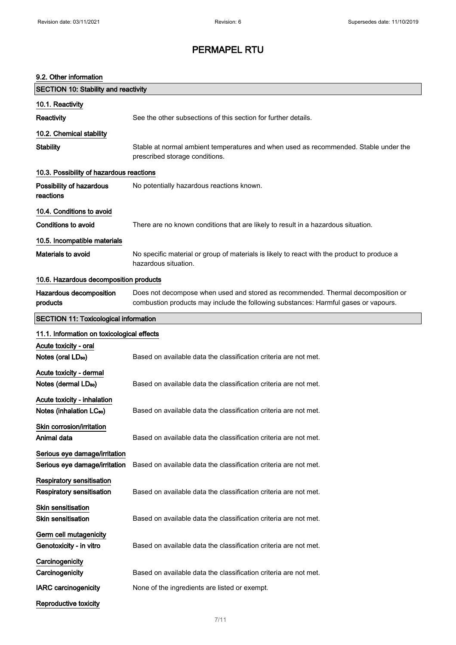### 9.2. Other information

| <b>SECTION 10: Stability and reactivity</b>                         |                                                                                                                                                                         |
|---------------------------------------------------------------------|-------------------------------------------------------------------------------------------------------------------------------------------------------------------------|
| 10.1. Reactivity                                                    |                                                                                                                                                                         |
| Reactivity                                                          | See the other subsections of this section for further details.                                                                                                          |
| 10.2. Chemical stability                                            |                                                                                                                                                                         |
| <b>Stability</b>                                                    | Stable at normal ambient temperatures and when used as recommended. Stable under the<br>prescribed storage conditions.                                                  |
| 10.3. Possibility of hazardous reactions                            |                                                                                                                                                                         |
| Possibility of hazardous<br>reactions                               | No potentially hazardous reactions known.                                                                                                                               |
| 10.4. Conditions to avoid                                           |                                                                                                                                                                         |
| <b>Conditions to avoid</b>                                          | There are no known conditions that are likely to result in a hazardous situation.                                                                                       |
| 10.5. Incompatible materials                                        |                                                                                                                                                                         |
| <b>Materials to avoid</b>                                           | No specific material or group of materials is likely to react with the product to produce a<br>hazardous situation.                                                     |
| 10.6. Hazardous decomposition products                              |                                                                                                                                                                         |
| Hazardous decomposition<br>products                                 | Does not decompose when used and stored as recommended. Thermal decomposition or<br>combustion products may include the following substances: Harmful gases or vapours. |
| <b>SECTION 11: Toxicological information</b>                        |                                                                                                                                                                         |
| 11.1. Information on toxicological effects                          |                                                                                                                                                                         |
| Acute toxicity - oral<br>Notes (oral LD <sub>50</sub> )             | Based on available data the classification criteria are not met.                                                                                                        |
| Acute toxicity - dermal<br>Notes (dermal LD <sub>50</sub> )         | Based on available data the classification criteria are not met.                                                                                                        |
| Acute toxicity - inhalation<br>Notes (inhalation LC <sub>50</sub> ) | Based on available data the classification criteria are not met.                                                                                                        |
| Skin corrosion/irritation<br>Animal data                            | Based on available data the classification criteria are not met.                                                                                                        |
| Serious eye damage/irritation<br>Serious eye damage/irritation      | Based on available data the classification criteria are not met.                                                                                                        |
| <b>Respiratory sensitisation</b><br>Respiratory sensitisation       | Based on available data the classification criteria are not met.                                                                                                        |
| Skin sensitisation<br><b>Skin sensitisation</b>                     | Based on available data the classification criteria are not met.                                                                                                        |
| Germ cell mutagenicity<br>Genotoxicity - in vitro                   | Based on available data the classification criteria are not met.                                                                                                        |
| Carcinogenicity                                                     |                                                                                                                                                                         |
| Carcinogenicity                                                     | Based on available data the classification criteria are not met.                                                                                                        |
| <b>IARC</b> carcinogenicity                                         | None of the ingredients are listed or exempt.                                                                                                                           |
| Reproductive toxicity                                               |                                                                                                                                                                         |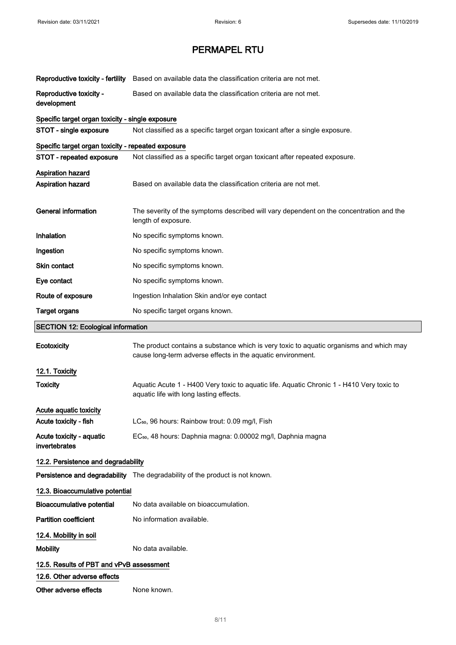| Reproductive toxicity - fertility                    | Based on available data the classification criteria are not met.                                                                                       |
|------------------------------------------------------|--------------------------------------------------------------------------------------------------------------------------------------------------------|
| Reproductive toxicity -<br>development               | Based on available data the classification criteria are not met.                                                                                       |
| Specific target organ toxicity - single exposure     |                                                                                                                                                        |
| STOT - single exposure                               | Not classified as a specific target organ toxicant after a single exposure.                                                                            |
| Specific target organ toxicity - repeated exposure   |                                                                                                                                                        |
| STOT - repeated exposure                             | Not classified as a specific target organ toxicant after repeated exposure.                                                                            |
| Aspiration hazard<br>Aspiration hazard               | Based on available data the classification criteria are not met.                                                                                       |
| <b>General information</b>                           | The severity of the symptoms described will vary dependent on the concentration and the<br>length of exposure.                                         |
| <b>Inhalation</b>                                    | No specific symptoms known.                                                                                                                            |
| Ingestion                                            | No specific symptoms known.                                                                                                                            |
| Skin contact                                         | No specific symptoms known.                                                                                                                            |
| Eye contact                                          | No specific symptoms known.                                                                                                                            |
| Route of exposure                                    | Ingestion Inhalation Skin and/or eye contact                                                                                                           |
| <b>Target organs</b>                                 | No specific target organs known.                                                                                                                       |
| <b>SECTION 12: Ecological information</b>            |                                                                                                                                                        |
|                                                      |                                                                                                                                                        |
| Ecotoxicity                                          | The product contains a substance which is very toxic to aquatic organisms and which may<br>cause long-term adverse effects in the aquatic environment. |
| 12.1. Toxicity                                       |                                                                                                                                                        |
| <b>Toxicity</b>                                      | Aquatic Acute 1 - H400 Very toxic to aquatic life. Aquatic Chronic 1 - H410 Very toxic to<br>aquatic life with long lasting effects.                   |
| Acute aquatic toxicity                               |                                                                                                                                                        |
| Acute toxicity - fish                                | LC <sub>50</sub> , 96 hours: Rainbow trout: 0.09 mg/l, Fish                                                                                            |
| Acute toxicity - aquatic<br>invertebrates            | EC <sub>50</sub> , 48 hours: Daphnia magna: 0.00002 mg/l, Daphnia magna                                                                                |
| 12.2. Persistence and degradability                  |                                                                                                                                                        |
|                                                      | Persistence and degradability The degradability of the product is not known.                                                                           |
| 12.3. Bioaccumulative potential                      |                                                                                                                                                        |
| <b>Bioaccumulative potential</b>                     | No data available on bioaccumulation.                                                                                                                  |
| <b>Partition coefficient</b>                         | No information available.                                                                                                                              |
| 12.4. Mobility in soil                               |                                                                                                                                                        |
| <b>Mobility</b>                                      | No data available.                                                                                                                                     |
| 12.5. Results of PBT and vPvB assessment             |                                                                                                                                                        |
| 12.6. Other adverse effects<br>Other adverse effects |                                                                                                                                                        |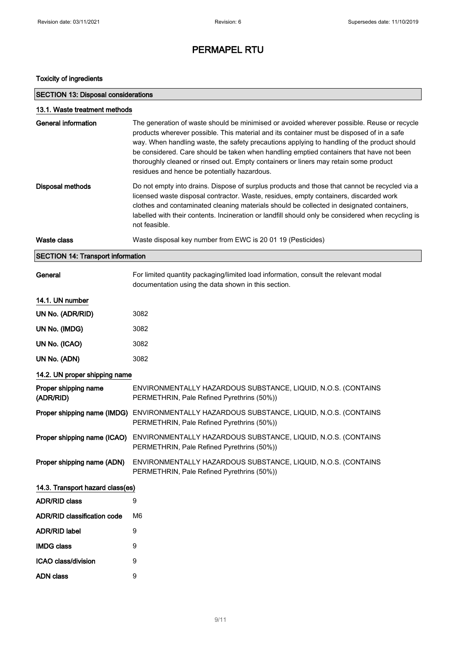### Toxicity of ingredients

| <b>SECTION 13: Disposal considerations</b> |                                                                                                                                                                                                                                                                                                                                                                                                                                                                                                                           |  |
|--------------------------------------------|---------------------------------------------------------------------------------------------------------------------------------------------------------------------------------------------------------------------------------------------------------------------------------------------------------------------------------------------------------------------------------------------------------------------------------------------------------------------------------------------------------------------------|--|
| 13.1. Waste treatment methods              |                                                                                                                                                                                                                                                                                                                                                                                                                                                                                                                           |  |
| General information                        | The generation of waste should be minimised or avoided wherever possible. Reuse or recycle<br>products wherever possible. This material and its container must be disposed of in a safe<br>way. When handling waste, the safety precautions applying to handling of the product should<br>be considered. Care should be taken when handling emptied containers that have not been<br>thoroughly cleaned or rinsed out. Empty containers or liners may retain some product<br>residues and hence be potentially hazardous. |  |
| <b>Disposal methods</b>                    | Do not empty into drains. Dispose of surplus products and those that cannot be recycled via a<br>licensed waste disposal contractor. Waste, residues, empty containers, discarded work<br>clothes and contaminated cleaning materials should be collected in designated containers,<br>labelled with their contents. Incineration or landfill should only be considered when recycling is<br>not feasible.                                                                                                                |  |
| Waste class                                | Waste disposal key number from EWC is 20 01 19 (Pesticides)                                                                                                                                                                                                                                                                                                                                                                                                                                                               |  |
| <b>SECTION 14: Transport information</b>   |                                                                                                                                                                                                                                                                                                                                                                                                                                                                                                                           |  |
| General                                    | For limited quantity packaging/limited load information, consult the relevant modal<br>documentation using the data shown in this section.                                                                                                                                                                                                                                                                                                                                                                                |  |
| 14.1. UN number                            |                                                                                                                                                                                                                                                                                                                                                                                                                                                                                                                           |  |
| UN No. (ADR/RID)                           | 3082                                                                                                                                                                                                                                                                                                                                                                                                                                                                                                                      |  |
| UN No. (IMDG)                              | 3082                                                                                                                                                                                                                                                                                                                                                                                                                                                                                                                      |  |
| UN No. (ICAO)                              | 3082                                                                                                                                                                                                                                                                                                                                                                                                                                                                                                                      |  |
| UN No. (ADN)                               | 3082                                                                                                                                                                                                                                                                                                                                                                                                                                                                                                                      |  |
| 14.2. UN proper shipping name              |                                                                                                                                                                                                                                                                                                                                                                                                                                                                                                                           |  |
| Proper shipping name<br>(ADR/RID)          | ENVIRONMENTALLY HAZARDOUS SUBSTANCE, LIQUID, N.O.S. (CONTAINS<br>PERMETHRIN, Pale Refined Pyrethrins (50%))                                                                                                                                                                                                                                                                                                                                                                                                               |  |
|                                            | Proper shipping name (IMDG) ENVIRONMENTALLY HAZARDOUS SUBSTANCE, LIQUID, N.O.S. (CONTAINS<br>PERMETHRIN, Pale Refined Pyrethrins (50%))                                                                                                                                                                                                                                                                                                                                                                                   |  |
| Proper shipping name (ICAO)                | ENVIRONMENTALLY HAZARDOUS SUBSTANCE, LIQUID, N.O.S. (CONTAINS<br>PERMETHRIN, Pale Refined Pyrethrins (50%))                                                                                                                                                                                                                                                                                                                                                                                                               |  |
| Proper shipping name (ADN)                 | ENVIRONMENTALLY HAZARDOUS SUBSTANCE, LIQUID, N.O.S. (CONTAINS<br>PERMETHRIN, Pale Refined Pyrethrins (50%))                                                                                                                                                                                                                                                                                                                                                                                                               |  |
| 14.3. Transport hazard class(es)           |                                                                                                                                                                                                                                                                                                                                                                                                                                                                                                                           |  |
| <b>ADR/RID class</b>                       | 9                                                                                                                                                                                                                                                                                                                                                                                                                                                                                                                         |  |
| ADR/RID classification code                | M <sub>6</sub>                                                                                                                                                                                                                                                                                                                                                                                                                                                                                                            |  |
| <b>ADR/RID label</b>                       | 9                                                                                                                                                                                                                                                                                                                                                                                                                                                                                                                         |  |
| <b>IMDG class</b>                          | 9                                                                                                                                                                                                                                                                                                                                                                                                                                                                                                                         |  |
| ICAO class/division                        | 9                                                                                                                                                                                                                                                                                                                                                                                                                                                                                                                         |  |
| <b>ADN</b> class                           | 9                                                                                                                                                                                                                                                                                                                                                                                                                                                                                                                         |  |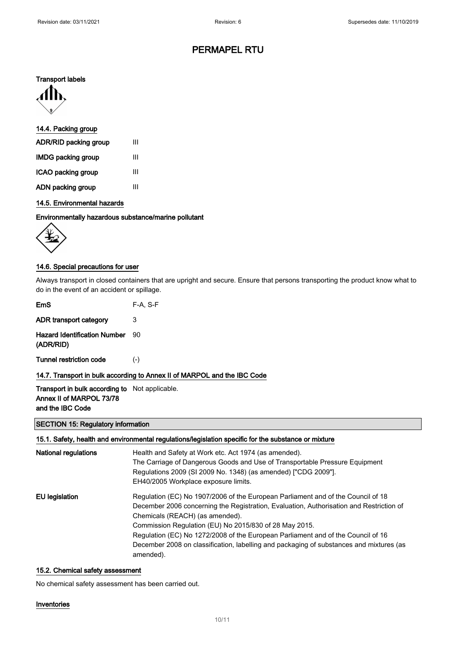### Transport labels



### 14.4. Packing group

| ADR/RID packing group     | Ш |
|---------------------------|---|
| <b>IMDG packing group</b> | Ш |
| ICAO packing group        | Ш |
| ADN packing group         | Ш |

### 14.5. Environmental hazards

### Environmentally hazardous substance/marine pollutant



### 14.6. Special precautions for user

Always transport in closed containers that are upright and secure. Ensure that persons transporting the product know what to do in the event of an accident or spillage.

| EmS                                              | $F-A, S-F$ |
|--------------------------------------------------|------------|
| ADR transport category                           | 3          |
| <b>Hazard Identification Number</b><br>(ADR/RID) | ۹N         |
| Tunnel restriction code                          | $(-)$      |

### 14.7. Transport in bulk according to Annex II of MARPOL and the IBC Code

### Transport in bulk according to Not applicable. Annex II of MARPOL 73/78 and the IBC Code

#### SECTION 15: Regulatory information

### 15.1. Safety, health and environmental regulations/legislation specific for the substance or mixture

| National regulations | Health and Safety at Work etc. Act 1974 (as amended).<br>The Carriage of Dangerous Goods and Use of Transportable Pressure Equipment<br>Regulations 2009 (SI 2009 No. 1348) (as amended) ["CDG 2009"].<br>EH40/2005 Workplace exposure limits.                                                                                                                                                                                                                       |
|----------------------|----------------------------------------------------------------------------------------------------------------------------------------------------------------------------------------------------------------------------------------------------------------------------------------------------------------------------------------------------------------------------------------------------------------------------------------------------------------------|
| EU legislation       | Regulation (EC) No 1907/2006 of the European Parliament and of the Council of 18<br>December 2006 concerning the Registration, Evaluation, Authorisation and Restriction of<br>Chemicals (REACH) (as amended).<br>Commission Regulation (EU) No 2015/830 of 28 May 2015.<br>Regulation (EC) No 1272/2008 of the European Parliament and of the Council of 16<br>December 2008 on classification, labelling and packaging of substances and mixtures (as<br>amended). |

#### 15.2. Chemical safety assessment

No chemical safety assessment has been carried out.

#### Inventories